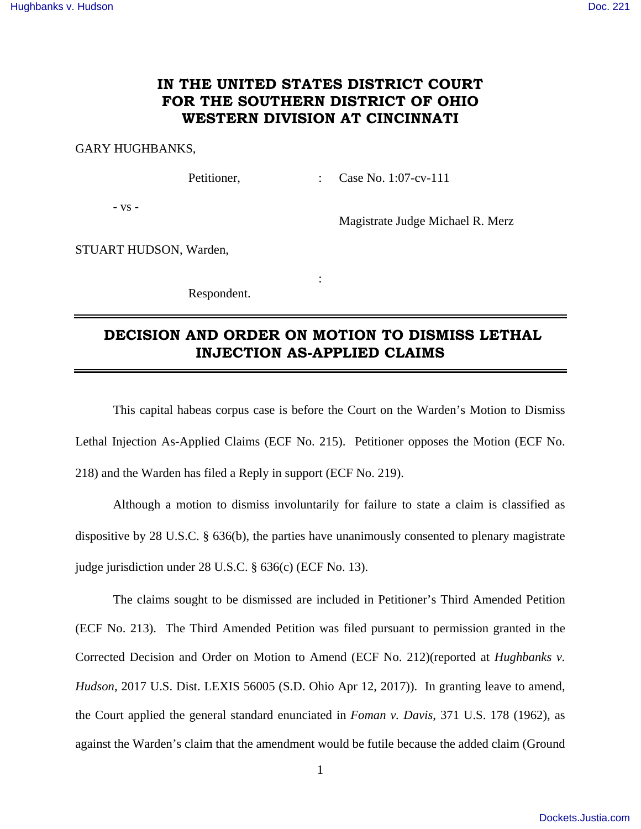### **IN THE UNITED STATES DISTRICT COURT FOR THE SOUTHERN DISTRICT OF OHIO WESTERN DIVISION AT CINCINNATI**

### GARY HUGHBANKS,

Petitioner, : Case No. 1:07-cv-111

- vs -

Magistrate Judge Michael R. Merz

STUART HUDSON, Warden,

Respondent.

**Service State State State** 

# **DECISION AND ORDER ON MOTION TO DISMISS LETHAL INJECTION AS-APPLIED CLAIMS**

 This capital habeas corpus case is before the Court on the Warden's Motion to Dismiss Lethal Injection As-Applied Claims (ECF No. 215). Petitioner opposes the Motion (ECF No. 218) and the Warden has filed a Reply in support (ECF No. 219).

 Although a motion to dismiss involuntarily for failure to state a claim is classified as dispositive by 28 U.S.C. § 636(b), the parties have unanimously consented to plenary magistrate judge jurisdiction under 28 U.S.C. § 636(c) (ECF No. 13).

 The claims sought to be dismissed are included in Petitioner's Third Amended Petition (ECF No. 213). The Third Amended Petition was filed pursuant to permission granted in the Corrected Decision and Order on Motion to Amend (ECF No. 212)(reported at *Hughbanks v. Hudson*, 2017 U.S. Dist. LEXIS 56005 (S.D. Ohio Apr 12, 2017)). In granting leave to amend, the Court applied the general standard enunciated in *Foman v. Davis*, 371 U.S. 178 (1962), as against the Warden's claim that the amendment would be futile because the added claim (Ground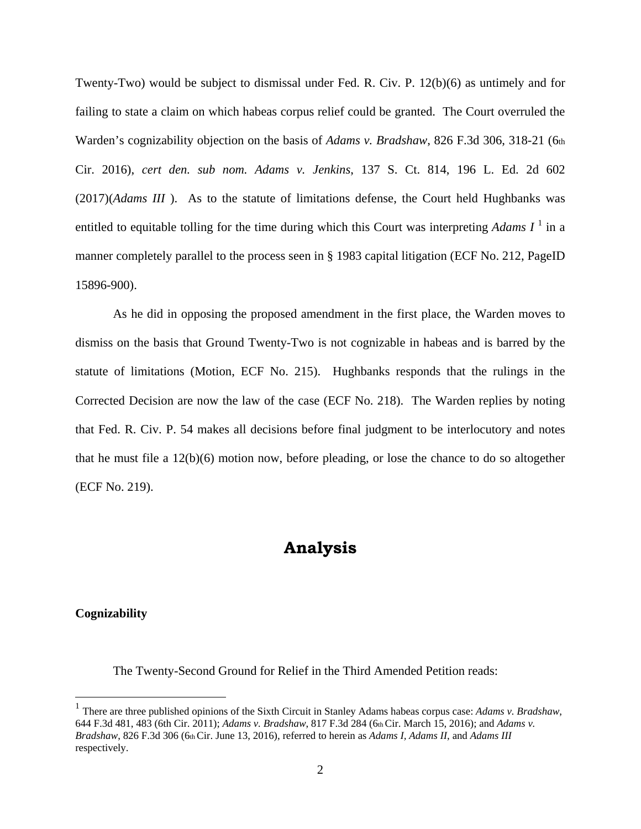Twenty-Two) would be subject to dismissal under Fed. R. Civ. P. 12(b)(6) as untimely and for failing to state a claim on which habeas corpus relief could be granted. The Court overruled the Warden's cognizability objection on the basis of *Adams v. Bradshaw*, 826 F.3d 306, 318-21 (6th Cir. 2016), *cert den. sub nom. Adams v. Jenkins*, 137 S. Ct. 814, 196 L. Ed. 2d 602 (2017)(*Adams III* ). As to the statute of limitations defense, the Court held Hughbanks was entitled to equitable tolling for the time during which this Court was interpreting  $Adams I<sup>1</sup>$  in a manner completely parallel to the process seen in § 1983 capital litigation (ECF No. 212, PageID 15896-900).

 As he did in opposing the proposed amendment in the first place, the Warden moves to dismiss on the basis that Ground Twenty-Two is not cognizable in habeas and is barred by the statute of limitations (Motion, ECF No. 215). Hughbanks responds that the rulings in the Corrected Decision are now the law of the case (ECF No. 218). The Warden replies by noting that Fed. R. Civ. P. 54 makes all decisions before final judgment to be interlocutory and notes that he must file a 12(b)(6) motion now, before pleading, or lose the chance to do so altogether (ECF No. 219).

## **Analysis**

#### **Cognizability**

 $\overline{a}$ 

The Twenty-Second Ground for Relief in the Third Amended Petition reads:

<sup>&</sup>lt;sup>1</sup> There are three published opinions of the Sixth Circuit in Stanley Adams habeas corpus case: *Adams v. Bradshaw*, 644 F.3d 481, 483 (6th Cir. 2011); *Adams v. Bradshaw*, 817 F.3d 284 (6th Cir. March 15, 2016); and *Adams v. Bradshaw*, 826 F.3d 306 (6th Cir. June 13, 2016), referred to herein as *Adams I, Adams II*, and *Adams III* respectively.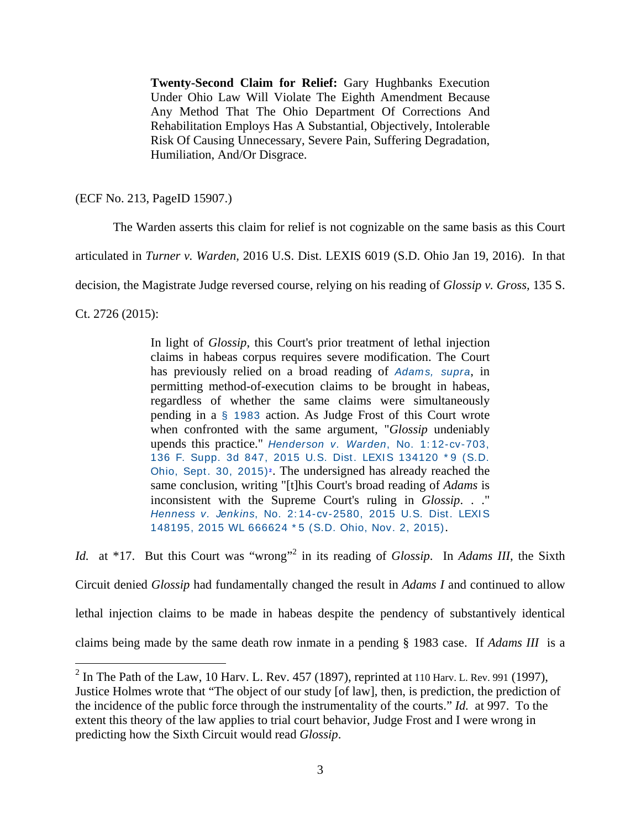**Twenty-Second Claim for Relief:** Gary Hughbanks Execution Under Ohio Law Will Violate The Eighth Amendment Because Any Method That The Ohio Department Of Corrections And Rehabilitation Employs Has A Substantial, Objectively, Intolerable Risk Of Causing Unnecessary, Severe Pain, Suffering Degradation, Humiliation, And/Or Disgrace.

(ECF No. 213, PageID 15907.)

The Warden asserts this claim for relief is not cognizable on the same basis as this Court

articulated in *Turner v. Warden,* 2016 U.S. Dist. LEXIS 6019 (S.D. Ohio Jan 19, 2016). In that

decision, the Magistrate Judge reversed course, relying on his reading of *Glossip v. Gross,* 135 S.

Ct. 2726 (2015):

In light of *Glossip*, this Court's prior treatment of lethal injection claims in habeas corpus requires severe modification. The Court has previously relied on a broad reading of Adams, supra, in permitting method-of-execution claims to be brought in habeas, regardless of whether the same claims were simultaneously pending in a § 1983 action. As Judge Frost of this Court wrote when confronted with the same argument, "*Glossip* undeniably upends this practice." Henderson v. Warden, No. 1: 12-cv-703, 136 F. Supp. 3d 847, 2015 U.S. Dist. LEXIS 134120 \*9 (S.D. Ohio, Sept. 30, 2015)<sup>2</sup>. The undersigned has already reached the same conclusion, writing "[t]his Court's broad reading of *Adams* is inconsistent with the Supreme Court's ruling in *Glossip*. . ." Henness v. Jenkins, No. 2: 14-cv-2580, 2015 U.S. Dist. LEXI S 148195, 2015 WL 666624 \* 5 (S.D. Ohio, Nov. 2, 2015).

Id. at \*17. But this Court was "wrong"<sup>2</sup> in its reading of *Glossip*. In *Adams III*, the Sixth Circuit denied *Glossip* had fundamentally changed the result in *Adams I* and continued to allow lethal injection claims to be made in habeas despite the pendency of substantively identical claims being made by the same death row inmate in a pending § 1983 case. If *Adams III* is a

 $\frac{1}{2}$  In The Path of the Law, 10 Harv. L. Rev. 457 (1897), reprinted at 110 Harv. L. Rev. 991 (1997), Justice Holmes wrote that "The object of our study [of law], then, is prediction, the prediction of the incidence of the public force through the instrumentality of the courts." *Id.* at 997. To the extent this theory of the law applies to trial court behavior, Judge Frost and I were wrong in predicting how the Sixth Circuit would read *Glossip*.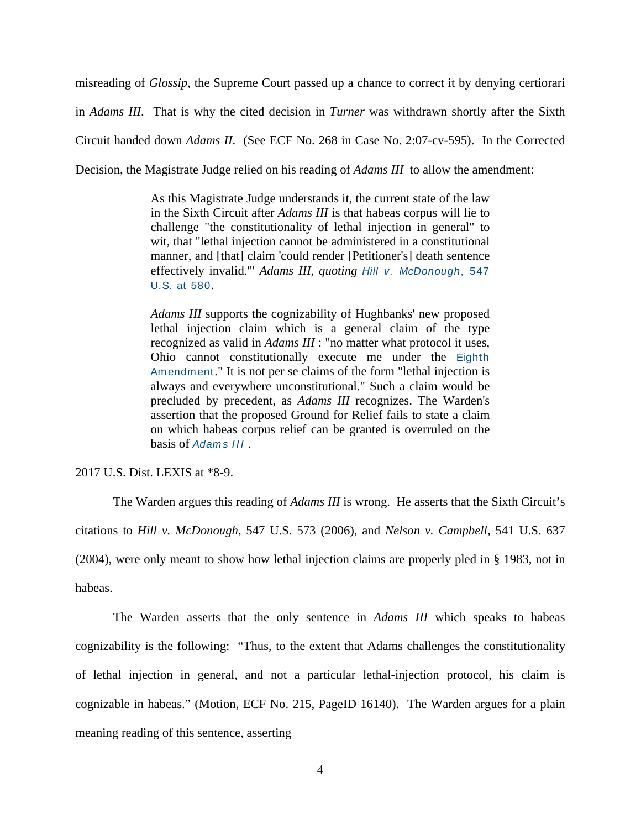misreading of *Glossip*, the Supreme Court passed up a chance to correct it by denying certiorari in *Adams III*. That is why the cited decision in *Turner* was withdrawn shortly after the Sixth Circuit handed down *Adams II*. (See ECF No. 268 in Case No. 2:07-cv-595). In the Corrected Decision, the Magistrate Judge relied on his reading of *Adams III* to allow the amendment:

> As this Magistrate Judge understands it, the current state of the law in the Sixth Circuit after *Adams III* is that habeas corpus will lie to challenge "the constitutionality of lethal injection in general" to wit, that "lethal injection cannot be administered in a constitutional manner, and [that] claim 'could render [Petitioner's] death sentence effectively invalid.'" *Adams III, quoting* Hill v. McDonough, 547 U.S. at 580.

> *Adams III* supports the cognizability of Hughbanks' new proposed lethal injection claim which is a general claim of the type recognized as valid in *Adams III* : "no matter what protocol it uses, Ohio cannot constitutionally execute me under the Eighth Amendment." It is not per se claims of the form "lethal injection is always and everywhere unconstitutional." Such a claim would be precluded by precedent, as *Adams III* recognizes. The Warden's assertion that the proposed Ground for Relief fails to state a claim on which habeas corpus relief can be granted is overruled on the basis of Adams III.

2017 U.S. Dist. LEXIS at \*8-9.

The Warden argues this reading of *Adams III* is wrong. He asserts that the Sixth Circuit's citations to *Hill v. McDonough,* 547 U.S. 573 (2006), and *Nelson v. Campbell,* 541 U.S. 637 (2004), were only meant to show how lethal injection claims are properly pled in § 1983, not in habeas.

The Warden asserts that the only sentence in *Adams III* which speaks to habeas cognizability is the following: "Thus, to the extent that Adams challenges the constitutionality of lethal injection in general, and not a particular lethal-injection protocol, his claim is cognizable in habeas." (Motion, ECF No. 215, PageID 16140). The Warden argues for a plain meaning reading of this sentence, asserting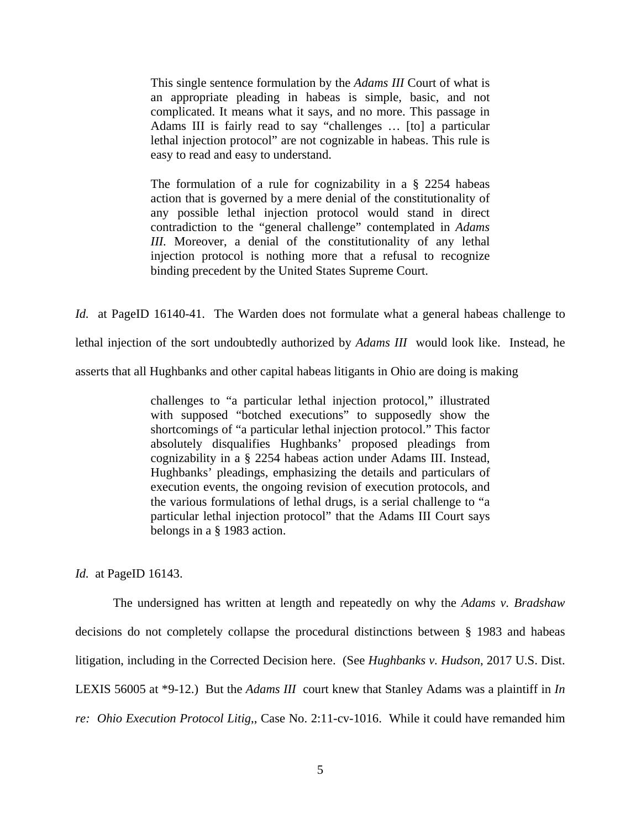This single sentence formulation by the *Adams III* Court of what is an appropriate pleading in habeas is simple, basic, and not complicated. It means what it says, and no more. This passage in Adams III is fairly read to say "challenges … [to] a particular lethal injection protocol" are not cognizable in habeas. This rule is easy to read and easy to understand.

The formulation of a rule for cognizability in a § 2254 habeas action that is governed by a mere denial of the constitutionality of any possible lethal injection protocol would stand in direct contradiction to the "general challenge" contemplated in *Adams III.* Moreover, a denial of the constitutionality of any lethal injection protocol is nothing more that a refusal to recognize binding precedent by the United States Supreme Court.

*Id.* at PageID 16140-41. The Warden does not formulate what a general habeas challenge to lethal injection of the sort undoubtedly authorized by *Adams III* would look like. Instead, he asserts that all Hughbanks and other capital habeas litigants in Ohio are doing is making

> challenges to "a particular lethal injection protocol," illustrated with supposed "botched executions" to supposedly show the shortcomings of "a particular lethal injection protocol." This factor absolutely disqualifies Hughbanks' proposed pleadings from cognizability in a § 2254 habeas action under Adams III. Instead, Hughbanks' pleadings, emphasizing the details and particulars of execution events, the ongoing revision of execution protocols, and the various formulations of lethal drugs, is a serial challenge to "a particular lethal injection protocol" that the Adams III Court says belongs in a § 1983 action.

*Id.* at PageID 16143.

 The undersigned has written at length and repeatedly on why the *Adams v. Bradshaw* decisions do not completely collapse the procedural distinctions between § 1983 and habeas litigation, including in the Corrected Decision here. (See *Hughbanks v. Hudson*, 2017 U.S. Dist. LEXIS 56005 at \*9-12.) But the *Adams III* court knew that Stanley Adams was a plaintiff in *In re: Ohio Execution Protocol Litig*,, Case No. 2:11-cv-1016. While it could have remanded him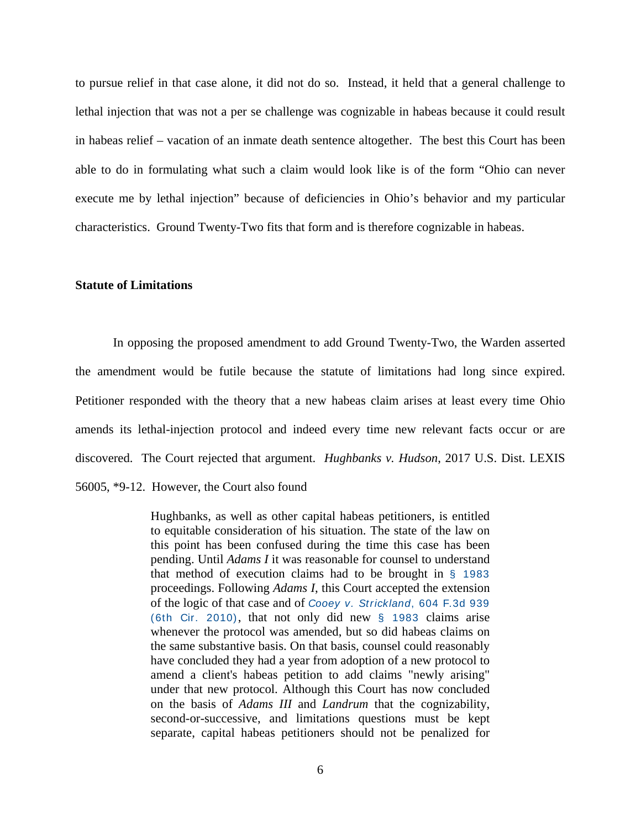to pursue relief in that case alone, it did not do so. Instead, it held that a general challenge to lethal injection that was not a per se challenge was cognizable in habeas because it could result in habeas relief – vacation of an inmate death sentence altogether. The best this Court has been able to do in formulating what such a claim would look like is of the form "Ohio can never execute me by lethal injection" because of deficiencies in Ohio's behavior and my particular characteristics. Ground Twenty-Two fits that form and is therefore cognizable in habeas.

#### **Statute of Limitations**

 In opposing the proposed amendment to add Ground Twenty-Two, the Warden asserted the amendment would be futile because the statute of limitations had long since expired. Petitioner responded with the theory that a new habeas claim arises at least every time Ohio amends its lethal-injection protocol and indeed every time new relevant facts occur or are discovered. The Court rejected that argument. *Hughbanks v. Hudson*, 2017 U.S. Dist. LEXIS 56005, \*9-12. However, the Court also found

> Hughbanks, as well as other capital habeas petitioners, is entitled to equitable consideration of his situation. The state of the law on this point has been confused during the time this case has been pending. Until *Adams I* it was reasonable for counsel to understand that method of execution claims had to be brought in § 1983 proceedings. Following *Adams I*, this Court accepted the extension of the logic of that case and of Cooey v. Strickland, 604 F.3d 939 (6th Cir. 2010), that not only did new § 1983 claims arise whenever the protocol was amended, but so did habeas claims on the same substantive basis. On that basis, counsel could reasonably have concluded they had a year from adoption of a new protocol to amend a client's habeas petition to add claims "newly arising" under that new protocol. Although this Court has now concluded on the basis of *Adams III* and *Landrum* that the cognizability, second-or-successive, and limitations questions must be kept separate, capital habeas petitioners should not be penalized for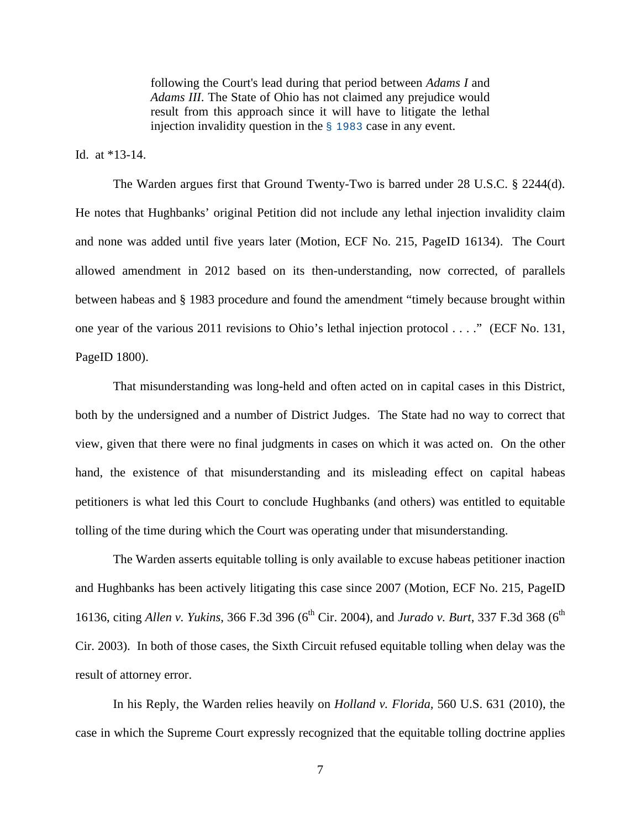following the Court's lead during that period between *Adams I* and *Adams III*. The State of Ohio has not claimed any prejudice would result from this approach since it will have to litigate the lethal injection invalidity question in the § 1983 case in any event.

Id. at \*13-14.

 The Warden argues first that Ground Twenty-Two is barred under 28 U.S.C. § 2244(d). He notes that Hughbanks' original Petition did not include any lethal injection invalidity claim and none was added until five years later (Motion, ECF No. 215, PageID 16134). The Court allowed amendment in 2012 based on its then-understanding, now corrected, of parallels between habeas and § 1983 procedure and found the amendment "timely because brought within one year of the various 2011 revisions to Ohio's lethal injection protocol . . . ." (ECF No. 131, PageID 1800).

 That misunderstanding was long-held and often acted on in capital cases in this District, both by the undersigned and a number of District Judges. The State had no way to correct that view, given that there were no final judgments in cases on which it was acted on. On the other hand, the existence of that misunderstanding and its misleading effect on capital habeas petitioners is what led this Court to conclude Hughbanks (and others) was entitled to equitable tolling of the time during which the Court was operating under that misunderstanding.

 The Warden asserts equitable tolling is only available to excuse habeas petitioner inaction and Hughbanks has been actively litigating this case since 2007 (Motion, ECF No. 215, PageID 16136, citing *Allen v. Yukins*, 366 F.3d 396 (6<sup>th</sup> Cir. 2004), and *Jurado v. Burt*, 337 F.3d 368 (6<sup>th</sup>) Cir. 2003). In both of those cases, the Sixth Circuit refused equitable tolling when delay was the result of attorney error.

 In his Reply, the Warden relies heavily on *Holland v. Florida,* 560 U.S. 631 (2010), the case in which the Supreme Court expressly recognized that the equitable tolling doctrine applies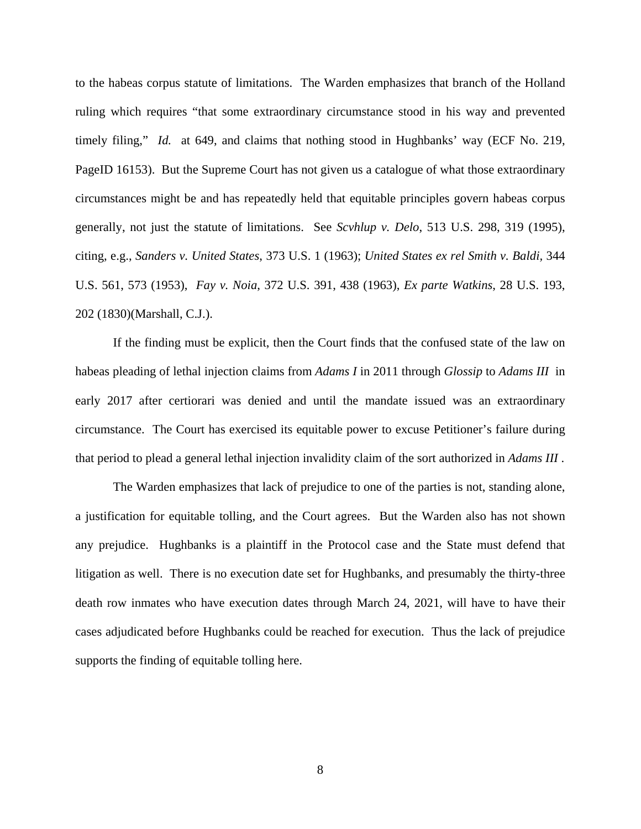to the habeas corpus statute of limitations. The Warden emphasizes that branch of the Holland ruling which requires "that some extraordinary circumstance stood in his way and prevented timely filing," *Id.* at 649, and claims that nothing stood in Hughbanks' way (ECF No. 219, PageID 16153). But the Supreme Court has not given us a catalogue of what those extraordinary circumstances might be and has repeatedly held that equitable principles govern habeas corpus generally, not just the statute of limitations. See *Scvhlup v. Delo*, 513 U.S. 298, 319 (1995), citing, e.g., *Sanders v. United States*, 373 U.S. 1 (1963); *United States ex rel Smith v. Baldi,* 344 U.S. 561, 573 (1953), *Fay v. Noia*, 372 U.S. 391, 438 (1963), *Ex parte Watkins*, 28 U.S. 193, 202 (1830)(Marshall, C.J.).

 If the finding must be explicit, then the Court finds that the confused state of the law on habeas pleading of lethal injection claims from *Adams I* in 2011 through *Glossip* to *Adams III* in early 2017 after certiorari was denied and until the mandate issued was an extraordinary circumstance. The Court has exercised its equitable power to excuse Petitioner's failure during that period to plead a general lethal injection invalidity claim of the sort authorized in *Adams III* .

 The Warden emphasizes that lack of prejudice to one of the parties is not, standing alone, a justification for equitable tolling, and the Court agrees. But the Warden also has not shown any prejudice. Hughbanks is a plaintiff in the Protocol case and the State must defend that litigation as well. There is no execution date set for Hughbanks, and presumably the thirty-three death row inmates who have execution dates through March 24, 2021, will have to have their cases adjudicated before Hughbanks could be reached for execution. Thus the lack of prejudice supports the finding of equitable tolling here.